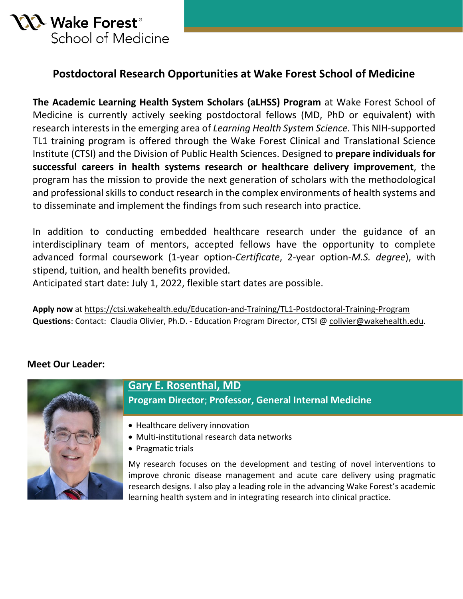

#### **Postdoctoral Research Opportunities at Wake Forest School of Medicine**

**The Academic Learning Health System Scholars (aLHSS) Program** at Wake Forest School of Medicine is currently actively seeking postdoctoral fellows (MD, PhD or equivalent) with research interests in the emerging area of *Learning Health System Science*. This NIH-supported TL1 training program is offered through the Wake Forest Clinical and Translational Science Institute (CTSI) and the Division of Public Health Sciences. Designed to **prepare individuals for successful careers in health systems research or healthcare delivery improvement**, the program has the mission to provide the next generation of scholars with the methodological and professional skills to conduct research in the complex environments of health systems and to disseminate and implement the findings from such research into practice.

In addition to conducting embedded healthcare research under the guidance of an interdisciplinary team of mentors, accepted fellows have the opportunity to complete advanced formal coursework (1-year option-*Certificate*, 2-year option-*M.S. degree*), with stipend, tuition, and health benefits provided.

Anticipated start date: July 1, 2022, flexible start dates are possible.

**Apply now** at <https://ctsi.wakehealth.edu/Education-and-Training/TL1-Postdoctoral-Training-Program> **Questions**: Contact: Claudia Olivier, Ph.D. - Education Program Director, CTSI [@ colivier@wakehealth.edu.](mailto:colivier@wakehealth.edu)

#### **Meet Our Leader:**



#### **[Gary E. Rosenthal, MD](https://school.wakehealth.edu/Faculty/R/Gary-Elliot-Rosenthal) Program Director**; **Professor, General Internal Medicine**

- Healthcare delivery innovation
- Multi-institutional research data networks
- Pragmatic trials

My research focuses on the development and testing of novel interventions to improve chronic disease management and acute care delivery using pragmatic research designs. I also play a leading role in the advancing Wake Forest's academic learning health system and in integrating research into clinical practice.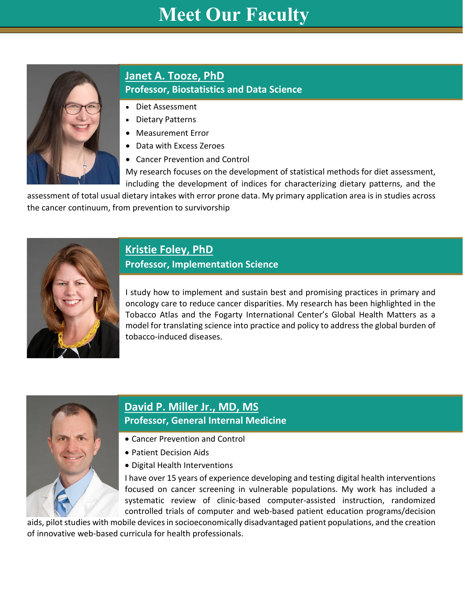# **Meet Our Faculty**



#### **[Janet A. Tooze,](https://school.wakehealth.edu/Faculty/T/Janet-Austin-Tooze) PhD Professor, Biostatistics and Data Science**

- Diet Assessment
- Dietary Patterns
- Measurement Error
- Data with Excess Zeroes
- Cancer Prevention and Control

My research focuses on the development of statistical methods for diet assessment, including the development of indices for characterizing dietary patterns, and the

assessment of total usual dietary intakes with error prone data. My primary application area is in studies across the cancer continuum, from prevention to survivorship



### **[Kristie Foley, PhD](https://school.wakehealth.edu/Faculty/F/Kristie-Foley)**

#### **Professor, Implementation Science**

I study how to implement and sustain best and promising practices in primary and oncology care to reduce cancer disparities. My research has been highlighted in the Tobacco Atlas and the Fogarty International Center's Global Health Matters as a model for translating science into practice and policy to address the global burden of tobacco-induced diseases.



#### **[David P. Miller Jr., MD, MS](https://school.wakehealth.edu/Faculty/M/David-Philip-Miller) Professor, General Internal Medicine**

- Cancer Prevention and Control
- Patient Decision Aids
- Digital Health Interventions

I have over 15 years of experience developing and testing digital health interventions focused on cancer screening in vulnerable populations. My work has included a systematic review of clinic-based computer-assisted instruction, randomized controlled trials of computer and web-based patient education programs/decision

aids, pilot studies with mobile devices in socioeconomically disadvantaged patient populations, and the creation of innovative web-based curricula for health professionals.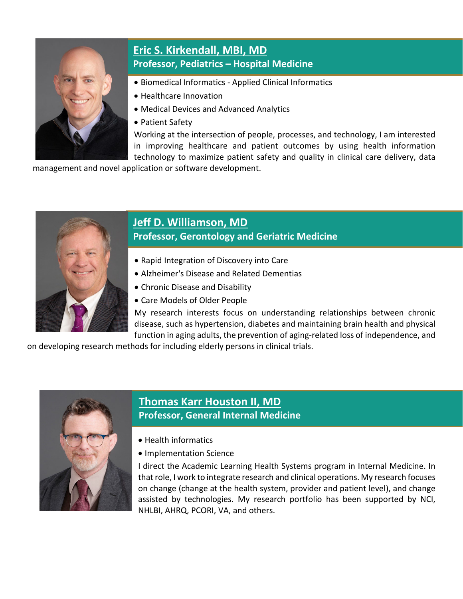

### **[Eric S. Kirkendall,](https://school.wakehealth.edu/Faculty/K/Eric-S-Kirkendall) MBI, MD Professor, Pediatrics – Hospital Medicine**

- Biomedical Informatics Applied Clinical Informatics
- Healthcare Innovation
- Medical Devices and Advanced Analytics
- Patient Safety

Working at the intersection of people, processes, and technology, I am interested in improving healthcare and patient outcomes by using health information technology to maximize patient safety and quality in clinical care delivery, data

management and novel application or software development.



# **[Jeff D. Williamson, MD](https://school.wakehealth.edu/Faculty/W/Jeff-D-Williamson)**

**Professor, Gerontology and Geriatric Medicine**

- Rapid Integration of Discovery into Care
- Alzheimer's Disease and Related Dementias
- Chronic Disease and Disability
- Care Models of Older People

My research interests focus on understanding relationships between chronic disease, such as hypertension, diabetes and maintaining brain health and physical function in aging adults, the prevention of aging-related loss of independence, and

on developing research methods for including elderly persons in clinical trials.



#### **[Thomas Karr Houston II,](https://school.wakehealth.edu/Faculty/H/Thomas-Karr-Houston) MD Professor, General Internal Medicine**

- Health informatics
- Implementation Science

I direct the Academic Learning Health Systems program in Internal Medicine. In that role, I work to integrate research and clinical operations. My research focuses on change (change at the health system, provider and patient level), and change assisted by technologies. My research portfolio has been supported by NCI, NHLBI, AHRQ, PCORI, VA, and others.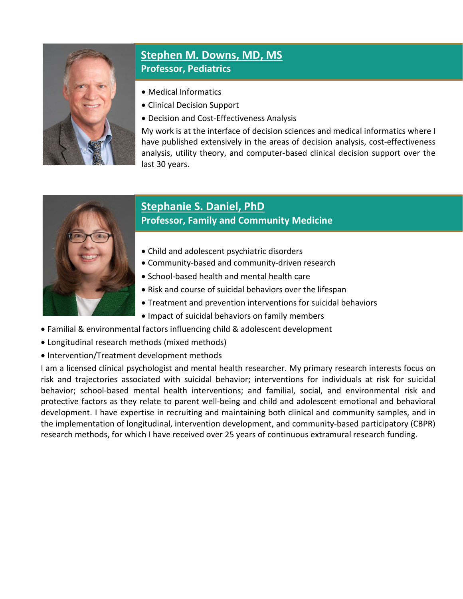

#### **[Stephen M. Downs, MD, MS](https://school.wakehealth.edu/Faculty/D/Stephen-M-Downs) Professor, Pediatrics**

- Medical Informatics
- Clinical Decision Support
- Decision and Cost-Effectiveness Analysis

My work is at the interface of decision sciences and medical informatics where I have published extensively in the areas of decision analysis, cost-effectiveness analysis, utility theory, and computer-based clinical decision support over the last 30 years.



# **[Stephanie S. Daniel, PhD](https://school.wakehealth.edu/Faculty/D/Stephanie-S-Daniel)**

#### **Professor, Family and Community Medicine**

- Child and adolescent psychiatric disorders
- Community-based and community-driven research
- School-based health and mental health care
- Risk and course of suicidal behaviors over the lifespan
- Treatment and prevention interventions for suicidal behaviors
- Impact of suicidal behaviors on family members
- Familial & environmental factors influencing child & adolescent development
- Longitudinal research methods (mixed methods)
- Intervention/Treatment development methods

I am a licensed clinical psychologist and mental health researcher. My primary research interests focus on risk and trajectories associated with suicidal behavior; interventions for individuals at risk for suicidal behavior; school-based mental health interventions; and familial, social, and environmental risk and protective factors as they relate to parent well-being and child and adolescent emotional and behavioral development. I have expertise in recruiting and maintaining both clinical and community samples, and in the implementation of longitudinal, intervention development, and community-based participatory (CBPR) research methods, for which I have received over 25 years of continuous extramural research funding.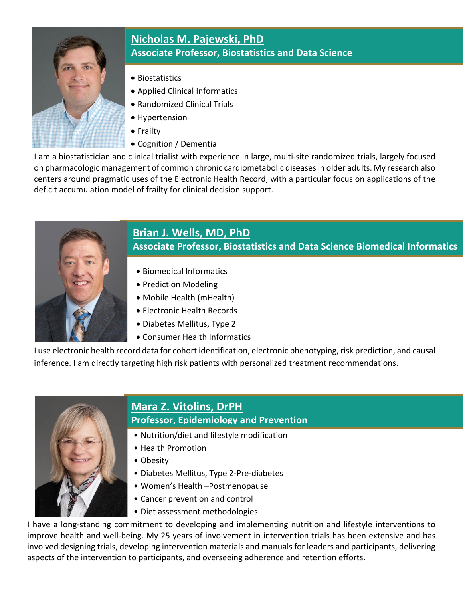

#### **[Nicholas M. Pajewski,](https://school.wakehealth.edu/Faculty/P/Nicholas-M-Pajewski) PhD Associate Professor, Biostatistics and Data Science**

- Biostatistics
- Applied Clinical Informatics
- Randomized Clinical Trials
- Hypertension
- Frailty
- Cognition / Dementia

I am a biostatistician and clinical trialist with experience in large, multi-site randomized trials, largely focused on pharmacologic management of common chronic cardiometabolic diseases in older adults. My research also centers around pragmatic uses of the Electronic Health Record, with a particular focus on applications of the deficit accumulation model of frailty for clinical decision support.



# **[Brian J. Wells,](https://school.wakehealth.edu/Faculty/W/Brian-J-Wells) MD, PhD**

**Associate Professor, Biostatistics and Data Science Biomedical Informatics**

- Biomedical Informatics
- Prediction Modeling
- Mobile Health (mHealth)
- Electronic Health Records
- Diabetes Mellitus, Type 2
- Consumer Health Informatics

I use electronic health record data for cohort identification, electronic phenotyping, risk prediction, and causal inference. I am directly targeting high risk patients with personalized treatment recommendations.



# **[Mara Z. Vitolins, DrPH](https://school.wakehealth.edu/Faculty/V/Mara-Z-Vitolins)**

#### **Professor, Epidemiology and Prevention**

- Nutrition/diet and lifestyle modification
- Health Promotion
- Obesity
- Diabetes Mellitus, Type 2-Pre-diabetes
- Women's Health –Postmenopause
- Cancer prevention and control
- Diet assessment methodologies

I have a long-standing commitment to developing and implementing nutrition and lifestyle interventions to improve health and well-being. My 25 years of involvement in intervention trials has been extensive and has involved designing trials, developing intervention materials and manuals for leaders and participants, delivering aspects of the intervention to participants, and overseeing adherence and retention efforts.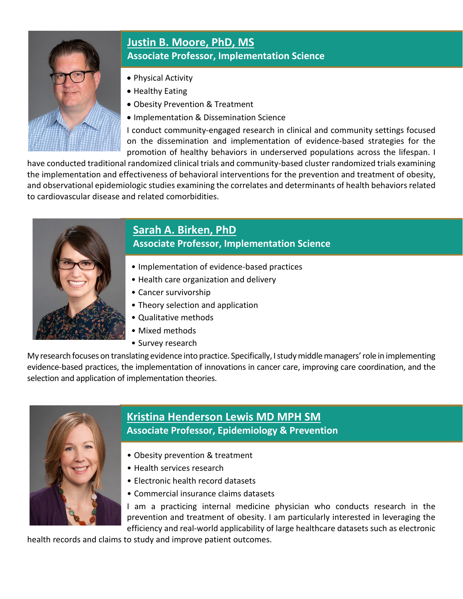

## **[Justin B. Moore,](https://school.wakehealth.edu/Faculty/M/Justin-B-Moore) PhD, MS Associate Professor, Implementation Science**

- Physical Activity
- Healthy Eating
- Obesity Prevention & Treatment
- Implementation & Dissemination Science

I conduct community-engaged research in clinical and community settings focused on the dissemination and implementation of evidence-based strategies for the promotion of healthy behaviors in underserved populations across the lifespan. I

have conducted traditional randomized clinical trials and community-based cluster randomized trials examining the implementation and effectiveness of behavioral interventions for the prevention and treatment of obesity, and observational epidemiologic studies examining the correlates and determinants of health behaviors related to cardiovascular disease and related comorbidities.



### **Sarah A. Birken, PhD Associate Professor, Implementation Science**

- Implementation of evidence-based practices
- Health care organization and delivery
- Cancer survivorship
- Theory selection and application
- Qualitative methods
- Mixed methods
- Survey research

My research focuses on translating evidence into practice. Specifically, Istudymiddlemanagers'role in implementing evidence-based practices, the implementation of innovations in cancer care, improving care coordination, and the selection and application of implementation theories.



# **[Kristina Henderson Lewis MD MPH SM](https://school.wakehealth.edu/Faculty/L/Kristina-Henderson-Lewis) Associate Professor, Epidemiology & Prevention**

- Obesity prevention & treatment
- Health services research
- Electronic health record datasets
- Commercial insurance claims datasets

I am a practicing internal medicine physician who conducts research in the prevention and treatment of obesity. I am particularly interested in leveraging the efficiency and real-world applicability of large healthcare datasets such as electronic

health records and claims to study and improve patient outcomes.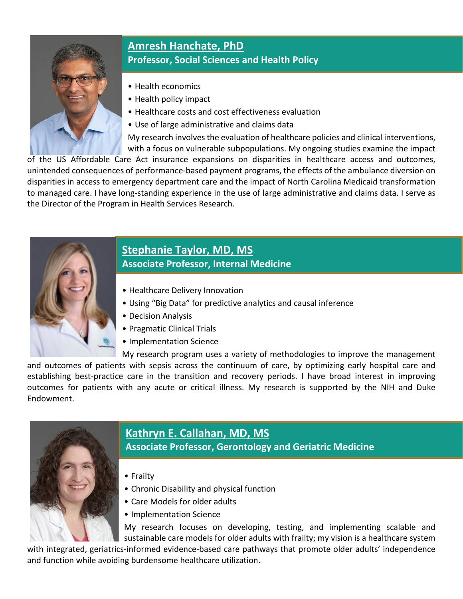

# **[Amresh Hanchate, PhD](https://school.wakehealth.edu/Faculty/H/Amresh-D-Hanchate) Professor, Social Sciences and Health Policy**

- Health economics
- Health policy impact
- Healthcare costs and cost effectiveness evaluation
- Use of large administrative and claims data

My research involves the evaluation of healthcare policies and clinical interventions, with a focus on vulnerable subpopulations. My ongoing studies examine the impact

of the US Affordable Care Act insurance expansions on disparities in healthcare access and outcomes, unintended consequences of performance-based payment programs, the effects of the ambulance diversion on disparities in access to emergency department care and the impact of North Carolina Medicaid transformation to managed care. I have long-standing experience in the use of large administrative and claims data. I serve as the Director of the Program in Health Services Research.



#### **[Stephanie Taylor, MD, MS](https://atriumhealth.org/provider-profile/stephanie-taylor-1851540686) Associate Professor, Internal Medicine**

- Healthcare Delivery Innovation
- Using "Big Data" for predictive analytics and causal inference
- Decision Analysis
- Pragmatic Clinical Trials
- Implementation Science

My research program uses a variety of methodologies to improve the management and outcomes of patients with sepsis across the continuum of care, by optimizing early hospital care and establishing best-practice care in the transition and recovery periods. I have broad interest in improving outcomes for patients with any acute or critical illness. My research is supported by the NIH and Duke Endowment.



## **Kathryn E. [Callahan, MD, MS](https://www.wakehealth.edu/Providers/C/Kathryn-E-Callahan)**

**Associate Professor, Gerontology and Geriatric Medicine**

- Frailty
- Chronic Disability and physical function
- Care Models for older adults
- Implementation Science

My research focuses on developing, testing, and implementing scalable and sustainable care models for older adults with frailty; my vision is a healthcare system

with integrated, geriatrics-informed evidence-based care pathways that promote older adults' independence and function while avoiding burdensome healthcare utilization.